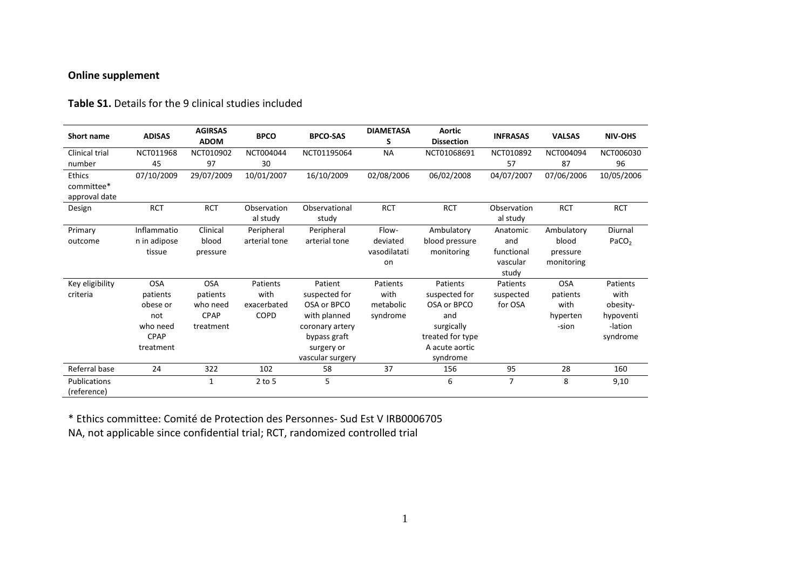# **Online supplement**

### **Table S1.** Details for the 9 clinical studies included

| <b>Short name</b>                     | <b>ADISAS</b>                                                                     | <b>AGIRSAS</b><br><b>ADOM</b>                                  | <b>BPCO</b>                             | <b>BPCO-SAS</b>                                                                                                              | <b>DIAMETASA</b><br>S                     | <b>Aortic</b><br><b>Dissection</b>                                                                              | <b>INFRASAS</b>                                    | <b>VALSAS</b>                                       | <b>NIV-OHS</b>                                                   |
|---------------------------------------|-----------------------------------------------------------------------------------|----------------------------------------------------------------|-----------------------------------------|------------------------------------------------------------------------------------------------------------------------------|-------------------------------------------|-----------------------------------------------------------------------------------------------------------------|----------------------------------------------------|-----------------------------------------------------|------------------------------------------------------------------|
| <b>Clinical trial</b><br>number       | NCT011968<br>45                                                                   | NCT010902<br>97                                                | NCT004044<br>30                         | NCT01195064                                                                                                                  | <b>NA</b>                                 | NCT01068691                                                                                                     | NCT010892<br>57                                    | NCT004094<br>87                                     | NCT006030<br>96                                                  |
| Ethics<br>committee*<br>approval date | 07/10/2009                                                                        | 29/07/2009                                                     | 10/01/2007                              | 16/10/2009                                                                                                                   | 02/08/2006                                | 06/02/2008                                                                                                      | 04/07/2007                                         | 07/06/2006                                          | 10/05/2006                                                       |
| Design                                | <b>RCT</b>                                                                        | <b>RCT</b>                                                     | Observation<br>al study                 | Observational<br>study                                                                                                       | <b>RCT</b>                                | <b>RCT</b>                                                                                                      | Observation<br>al study                            | <b>RCT</b>                                          | <b>RCT</b>                                                       |
| Primary<br>outcome                    | Inflammatio<br>n in adipose<br>tissue                                             | Clinical<br>blood<br>pressure                                  | Peripheral<br>arterial tone             | Peripheral<br>arterial tone                                                                                                  | Flow-<br>deviated<br>vasodilatati<br>on   | Ambulatory<br>blood pressure<br>monitoring                                                                      | Anatomic<br>and<br>functional<br>vascular<br>study | Ambulatory<br>blood<br>pressure<br>monitoring       | Diurnal<br>PACO <sub>2</sub>                                     |
| Key eligibility<br>criteria           | <b>OSA</b><br>patients<br>obese or<br>not<br>who need<br><b>CPAP</b><br>treatment | <b>OSA</b><br>patients<br>who need<br><b>CPAP</b><br>treatment | Patients<br>with<br>exacerbated<br>COPD | Patient<br>suspected for<br>OSA or BPCO<br>with planned<br>coronary artery<br>bypass graft<br>surgery or<br>vascular surgery | Patients<br>with<br>metabolic<br>syndrome | Patients<br>suspected for<br>OSA or BPCO<br>and<br>surgically<br>treated for type<br>A acute aortic<br>syndrome | Patients<br>suspected<br>for OSA                   | <b>OSA</b><br>patients<br>with<br>hyperten<br>-sion | Patients<br>with<br>obesity-<br>hypoventi<br>-lation<br>syndrome |
| Referral base                         | 24                                                                                | 322                                                            | 102                                     | 58                                                                                                                           | 37                                        | 156                                                                                                             | 95                                                 | 28                                                  | 160                                                              |
| Publications<br>(reference)           |                                                                                   | 1                                                              | $2$ to 5                                | 5                                                                                                                            |                                           | 6                                                                                                               | $\overline{7}$                                     | 8                                                   | 9,10                                                             |

\* Ethics committee: Comité de Protection des Personnes- Sud Est V IRB0006705 NA, not applicable since confidential trial; RCT, randomized controlled trial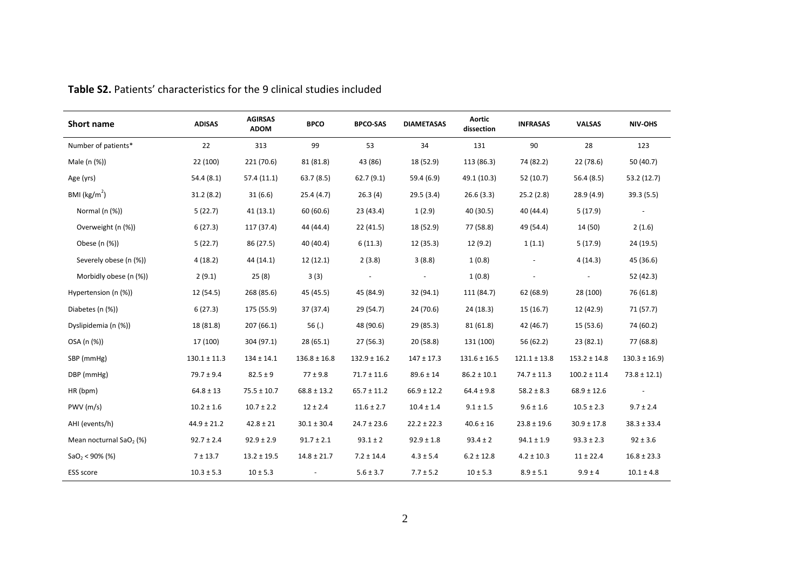| <b>Short name</b>                   | <b>ADISAS</b>    | <b>AGIRSAS</b><br><b>ADOM</b> | <b>BPCO</b>      | <b>BPCO-SAS</b>  | <b>DIAMETASAS</b> | <b>Aortic</b><br>dissection | <b>INFRASAS</b>  | <b>VALSAS</b>    | NIV-OHS          |
|-------------------------------------|------------------|-------------------------------|------------------|------------------|-------------------|-----------------------------|------------------|------------------|------------------|
| Number of patients*                 | 22               | 313                           | 99               | 53               | 34                | 131                         | 90               | 28               | 123              |
| Male (n (%))                        | 22 (100)         | 221 (70.6)                    | 81 (81.8)        | 43 (86)          | 18 (52.9)         | 113 (86.3)                  | 74 (82.2)        | 22 (78.6)        | 50 (40.7)        |
| Age (yrs)                           | 54.4(8.1)        | 57.4(11.1)                    | 63.7(8.5)        | 62.7(9.1)        | 59.4 (6.9)        | 49.1 (10.3)                 | 52 (10.7)        | 56.4(8.5)        | 53.2 (12.7)      |
| BMI ( $\text{kg/m}^2$ )             | 31.2(8.2)        | 31(6.6)                       | 25.4(4.7)        | 26.3(4)          | 29.5(3.4)         | 26.6(3.3)                   | 25.2(2.8)        | 28.9(4.9)        | 39.3(5.5)        |
| Normal (n (%))                      | 5(22.7)          | 41(13.1)                      | 60 (60.6)        | 23 (43.4)        | 1(2.9)            | 40 (30.5)                   | 40 (44.4)        | 5(17.9)          |                  |
| Overweight (n (%))                  | 6(27.3)          | 117 (37.4)                    | 44 (44.4)        | 22 (41.5)        | 18 (52.9)         | 77 (58.8)                   | 49 (54.4)        | 14 (50)          | 2(1.6)           |
| Obese (n (%))                       | 5(22.7)          | 86 (27.5)                     | 40 (40.4)        | 6(11.3)          | 12 (35.3)         | 12(9.2)                     | 1(1.1)           | 5(17.9)          | 24 (19.5)        |
| Severely obese (n (%))              | 4(18.2)          | 44 (14.1)                     | 12(12.1)         | 2(3.8)           | 3(8.8)            | 1(0.8)                      |                  | 4(14.3)          | 45 (36.6)        |
| Morbidly obese (n (%))              | 2(9.1)           | 25(8)                         | 3(3)             |                  |                   | 1(0.8)                      |                  |                  | 52 (42.3)        |
| Hypertension (n (%))                | 12 (54.5)        | 268 (85.6)                    | 45 (45.5)        | 45 (84.9)        | 32 (94.1)         | 111 (84.7)                  | 62 (68.9)        | 28 (100)         | 76 (61.8)        |
| Diabetes (n (%))                    | 6(27.3)          | 175 (55.9)                    | 37 (37.4)        | 29 (54.7)        | 24 (70.6)         | 24(18.3)                    | 15(16.7)         | 12 (42.9)        | 71 (57.7)        |
| Dyslipidemia (n (%))                | 18 (81.8)        | 207(66.1)                     | 56 $(.)$         | 48 (90.6)        | 29 (85.3)         | 81 (61.8)                   | 42 (46.7)        | 15(53.6)         | 74 (60.2)        |
| OSA (n (%))                         | 17 (100)         | 304 (97.1)                    | 28(65.1)         | 27(56.3)         | 20 (58.8)         | 131 (100)                   | 56 (62.2)        | 23(82.1)         | 77 (68.8)        |
| SBP (mmHg)                          | $130.1 \pm 11.3$ | $134 \pm 14.1$                | $136.8 \pm 16.8$ | $132.9 \pm 16.2$ | $147 \pm 17.3$    | $131.6 \pm 16.5$            | $121.1 \pm 13.8$ | $153.2 \pm 14.8$ | $130.3 \pm 16.9$ |
| DBP (mmHg)                          | $79.7 \pm 9.4$   | $82.5 \pm 9$                  | $77 \pm 9.8$     | $71.7 \pm 11.6$  | $89.6 \pm 14$     | $86.2 \pm 10.1$             | $74.7 \pm 11.3$  | $100.2 \pm 11.4$ | $73.8 \pm 12.1$  |
| HR (bpm)                            | $64.8 \pm 13$    | $75.5 \pm 10.7$               | $68.8 \pm 13.2$  | $65.7 \pm 11.2$  | $66.9 \pm 12.2$   | $64.4 \pm 9.8$              | $58.2 \pm 8.3$   | $68.9 \pm 12.6$  |                  |
| PWV (m/s)                           | $10.2 \pm 1.6$   | $10.7 \pm 2.2$                | $12 \pm 2.4$     | $11.6 \pm 2.7$   | $10.4 \pm 1.4$    | $9.1 \pm 1.5$               | $9.6 \pm 1.6$    | $10.5 \pm 2.3$   | $9.7 \pm 2.4$    |
| AHI (events/h)                      | $44.9 \pm 21.2$  | $42.8 \pm 21$                 | $30.1 \pm 30.4$  | $24.7 \pm 23.6$  | $22.2 \pm 22.3$   | $40.6 \pm 16$               | $23.8 \pm 19.6$  | $30.9 \pm 17.8$  | $38.3 \pm 33.4$  |
| Mean nocturnal SaO <sub>2</sub> (%) | $92.7 \pm 2.4$   | $92.9 \pm 2.9$                | $91.7 \pm 2.1$   | $93.1 \pm 2$     | $92.9 \pm 1.8$    | $93.4 \pm 2$                | $94.1 \pm 1.9$   | $93.3 \pm 2.3$   | $92 \pm 3.6$     |
| $SaO2 < 90\%$ (%)                   | $7 + 13.7$       | $13.2 \pm 19.5$               | $14.8 \pm 21.7$  | $7.2 \pm 14.4$   | $4.3 \pm 5.4$     | $6.2 \pm 12.8$              | $4.2 \pm 10.3$   | $11 \pm 22.4$    | $16.8 \pm 23.3$  |
| <b>ESS</b> score                    | $10.3 \pm 5.3$   | $10 \pm 5.3$                  |                  | $5.6 \pm 3.7$    | $7.7 \pm 5.2$     | $10 \pm 5.3$                | $8.9 \pm 5.1$    | $9.9 \pm 4$      | $10.1 \pm 4.8$   |

**Table S2.** Patients' characteristics for the 9 clinical studies included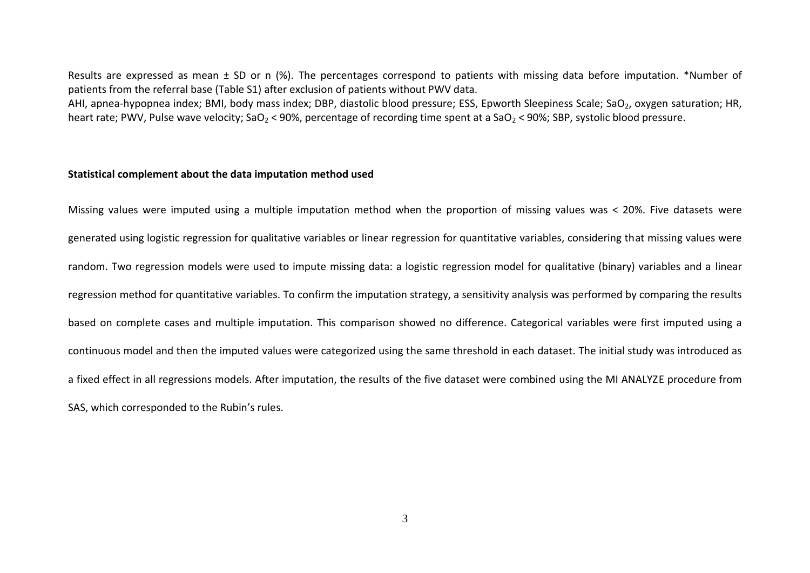Results are expressed as mean  $\pm$  SD or n (%). The percentages correspond to patients with missing data before imputation. \*Number of patients from the referral base (Table S1) after exclusion of patients without PWV data.

AHI, apnea-hypopnea index; BMI, body mass index; DBP, diastolic blood pressure; ESS, Epworth Sleepiness Scale; SaO<sub>2</sub>, oxygen saturation; HR, heart rate; PWV, Pulse wave velocity; SaO<sub>2</sub> < 90%, percentage of recording time spent at a SaO<sub>2</sub> < 90%; SBP, systolic blood pressure.

#### **Statistical complement about the data imputation method used**

Missing values were imputed using a multiple imputation method when the proportion of missing values was < 20%. Five datasets were generated using logistic regression for qualitative variables or linear regression for quantitative variables, considering that missing values were random. Two regression models were used to impute missing data: a logistic regression model for qualitative (binary) variables and a linear regression method for quantitative variables. To confirm the imputation strategy, a sensitivity analysis was performed by comparing the results based on complete cases and multiple imputation. This comparison showed no difference. Categorical variables were first imputed using a continuous model and then the imputed values were categorized using the same threshold in each dataset. The initial study was introduced as a fixed effect in all regressions models. After imputation, the results of the five dataset were combined using the MI ANALYZE procedure from SAS, which corresponded to the Rubin's rules.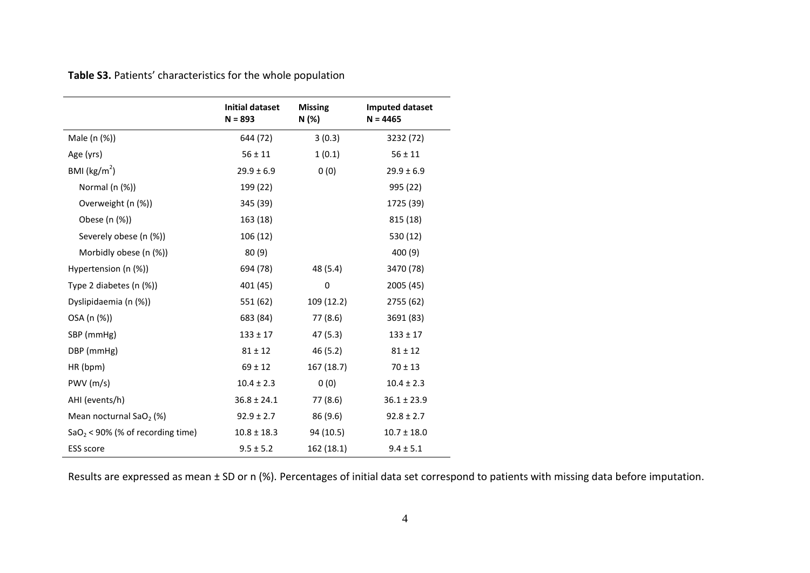**Table S3.** Patients' characteristics for the whole population

|                                     | Initial dataset<br>$N = 893$ | <b>Missing</b><br>N (%) | <b>Imputed dataset</b><br>$N = 4465$ |
|-------------------------------------|------------------------------|-------------------------|--------------------------------------|
| Male (n (%))                        | 644 (72)                     | 3(0.3)                  | 3232 (72)                            |
| Age (yrs)                           | $56 \pm 11$                  | 1(0.1)                  | $56 \pm 11$                          |
| BMI ( $\text{kg/m}^2$ )             | $29.9 \pm 6.9$               | 0(0)                    | $29.9 \pm 6.9$                       |
| Normal (n (%))                      | 199 (22)                     |                         | 995 (22)                             |
| Overweight (n (%))                  | 345 (39)                     |                         | 1725 (39)                            |
| Obese (n (%))                       | 163 (18)                     |                         | 815 (18)                             |
| Severely obese (n (%))              | 106(12)                      |                         | 530 (12)                             |
| Morbidly obese (n (%))              | 80(9)                        |                         | 400 (9)                              |
| Hypertension (n (%))                | 694 (78)                     | 48 (5.4)                | 3470 (78)                            |
| Type 2 diabetes (n (%))             | 401 (45)                     | $\mathbf 0$             | 2005 (45)                            |
| Dyslipidaemia (n (%))               | 551 (62)                     | 109 (12.2)              | 2755 (62)                            |
| OSA (n (%))                         | 683 (84)                     | 77 (8.6)                | 3691 (83)                            |
| SBP (mmHg)                          | $133 \pm 17$                 | 47 (5.3)                | $133 \pm 17$                         |
| DBP (mmHg)                          | $81 \pm 12$                  | 46(5.2)                 | $81 \pm 12$                          |
| HR (bpm)                            | $69 \pm 12$                  | 167 (18.7)              | $70 \pm 13$                          |
| PWV (m/s)                           | $10.4 \pm 2.3$               | 0(0)                    | $10.4 \pm 2.3$                       |
| AHI (events/h)                      | $36.8 \pm 24.1$              | 77 (8.6)                | $36.1 \pm 23.9$                      |
| Mean nocturnal SaO <sub>2</sub> (%) | $92.9 \pm 2.7$               | 86 (9.6)                | $92.8 \pm 2.7$                       |
| $SaO2 < 90%$ (% of recording time)  | $10.8 \pm 18.3$              | 94 (10.5)               | $10.7 \pm 18.0$                      |
| ESS score                           | $9.5 \pm 5.2$                | 162 (18.1)              | $9.4 \pm 5.1$                        |

Results are expressed as mean ± SD or n (%). Percentages of initial data set correspond to patients with missing data before imputation.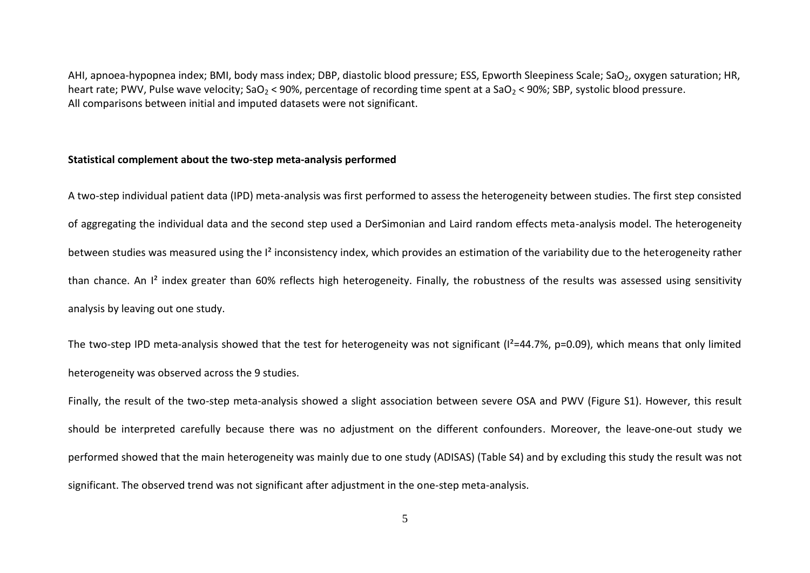AHI, apnoea-hypopnea index; BMI, body mass index; DBP, diastolic blood pressure; ESS, Epworth Sleepiness Scale; SaO<sub>2</sub>, oxygen saturation; HR, heart rate; PWV, Pulse wave velocity; SaO<sub>2</sub> < 90%, percentage of recording time spent at a SaO<sub>2</sub> < 90%; SBP, systolic blood pressure. All comparisons between initial and imputed datasets were not significant.

### **Statistical complement about the two-step meta-analysis performed**

A two-step individual patient data (IPD) meta-analysis was first performed to assess the heterogeneity between studies. The first step consisted of aggregating the individual data and the second step used a DerSimonian and Laird random effects meta-analysis model. The heterogeneity between studies was measured using the  $l^2$  inconsistency index, which provides an estimation of the variability due to the heterogeneity rather than chance. An I² index greater than 60% reflects high heterogeneity. Finally, the robustness of the results was assessed using sensitivity analysis by leaving out one study.

The two-step IPD meta-analysis showed that the test for heterogeneity was not significant  $(I^2=44.7\%$ , p=0.09), which means that only limited heterogeneity was observed across the 9 studies.

Finally, the result of the two-step meta-analysis showed a slight association between severe OSA and PWV (Figure S1). However, this result should be interpreted carefully because there was no adjustment on the different confounders. Moreover, the leave-one-out study we performed showed that the main heterogeneity was mainly due to one study (ADISAS) (Table S4) and by excluding this study the result was not significant. The observed trend was not significant after adjustment in the one-step meta-analysis.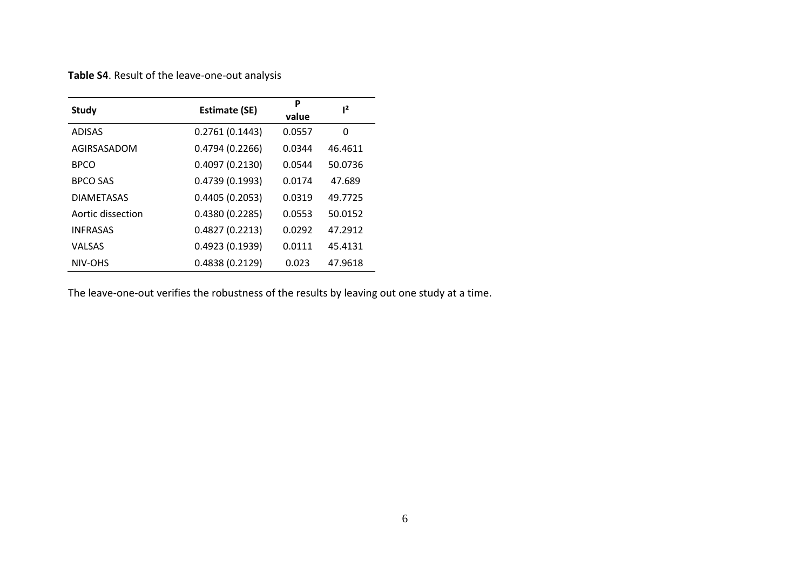**Table S4**. Result of the leave-one-out analysis

| <b>Study</b>      | <b>Estimate (SE)</b> | P<br>value | 1 <sup>2</sup> |
|-------------------|----------------------|------------|----------------|
| <b>ADISAS</b>     | 0.2761(0.1443)       | 0.0557     | 0              |
| AGIRSASADOM       | 0.4794(0.2266)       | 0.0344     | 46.4611        |
| <b>BPCO</b>       | 0.4097(0.2130)       | 0.0544     | 50.0736        |
| <b>BPCO SAS</b>   | 0.4739(0.1993)       | 0.0174     | 47.689         |
| <b>DIAMETASAS</b> | 0.4405(0.2053)       | 0.0319     | 49.7725        |
| Aortic dissection | 0.4380(0.2285)       | 0.0553     | 50.0152        |
| <b>INFRASAS</b>   | 0.4827(0.2213)       | 0.0292     | 47.2912        |
| VALSAS            | 0.4923(0.1939)       | 0.0111     | 45.4131        |
| NIV-OHS           | 0.4838(0.2129)       | 0.023      | 47.9618        |

The leave-one-out verifies the robustness of the results by leaving out one study at a time.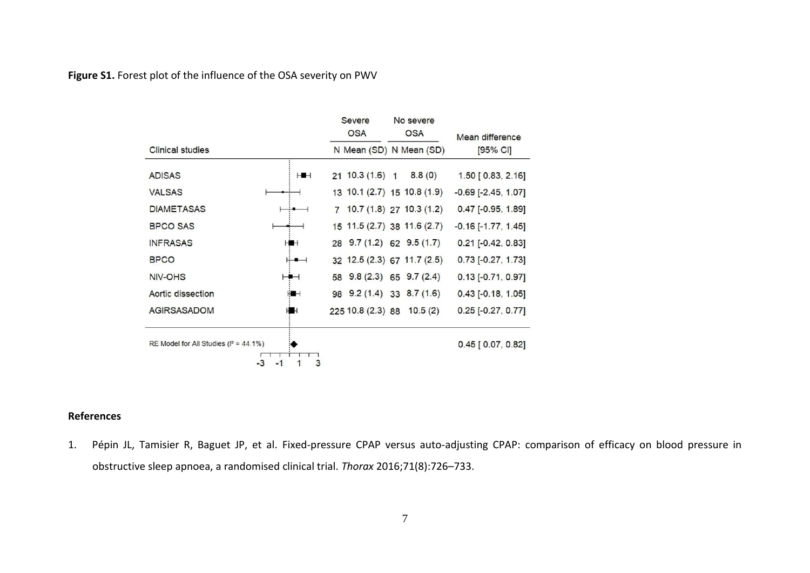**Figure S1.** Forest plot of the influence of the OSA severity on PWV

|                                             |                 | Severe<br><b>OSA</b>       | No severe<br><b>OSA</b>      | Mean difference              |  |
|---------------------------------------------|-----------------|----------------------------|------------------------------|------------------------------|--|
| Clinical studies                            |                 |                            | N Mean (SD) N Mean (SD)      | [95% CI]                     |  |
| <b>ADISAS</b>                               | ⊢∎⊣             | $21 \; 10.3 \; (1.6) \; 1$ | 8.8(0)                       | 1.50 [ 0.83, 2.16]           |  |
| <b>VALSAS</b>                               |                 |                            | 13 10.1 (2.7) 15 10.8 (1.9)  | $-0.69$ $[-2.45, 1.07]$      |  |
| <b>DIAMETASAS</b>                           |                 |                            | $7$ 10.7 (1.8) 27 10.3 (1.2) | $0.47$ [-0.95, 1.89]         |  |
| <b>BPCO SAS</b>                             |                 |                            | 15 11.5 (2.7) 38 11.6 (2.7)  | $-0.16$ [ $-1.77$ , $1.45$ ] |  |
| <b>INFRASAS</b>                             | HH              | 28 9.7 (1.2) 62 9.5 (1.7)  |                              | $0.21$ [-0.42, 0.83]         |  |
| <b>BPCO</b>                                 | ⊬∎⊣             |                            | 32 12.5 (2.3) 67 11.7 (2.5)  | 0.73 [-0.27, 1.73]           |  |
| NIV-OHS                                     | ⊢∎⊣             | 58 9.8 (2.3) 65 9.7 (2.4)  |                              | $0.13$ [-0.71, 0.97]         |  |
| Aortic dissection                           | HH              | 98 9.2 (1.4) 33 8.7 (1.6)  |                              | $0.43$ [-0.18, 1.05]         |  |
| <b>AGIRSASADOM</b>                          | HH              | 225 10.8 (2.3) 88 10.5 (2) |                              | $0.25$ [-0.27, 0.77]         |  |
| RE Model for All Studies ( $I^2 = 44.1\%$ ) |                 |                            |                              | $0.45$ [ 0.07, 0.82]         |  |
|                                             | 3<br>-3<br>$-1$ |                            |                              |                              |  |

## **References**

1. Pépin JL, Tamisier R, Baguet JP, et al. Fixed-pressure CPAP versus auto-adjusting CPAP: comparison of efficacy on blood pressure in obstructive sleep apnoea, a randomised clinical trial. *Thorax* 2016;71(8):726–733.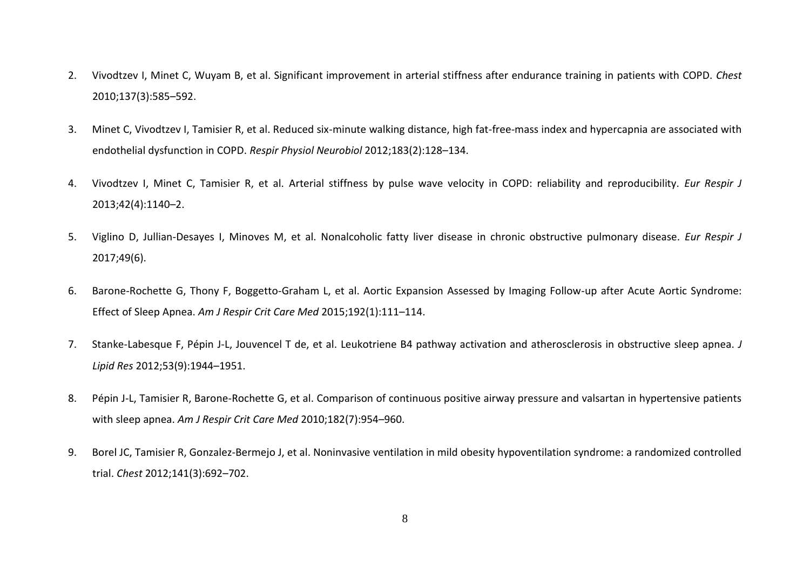- 2. Vivodtzev I, Minet C, Wuyam B, et al. Significant improvement in arterial stiffness after endurance training in patients with COPD. *Chest* 2010;137(3):585–592.
- 3. Minet C, Vivodtzev I, Tamisier R, et al. Reduced six-minute walking distance, high fat-free-mass index and hypercapnia are associated with endothelial dysfunction in COPD. *Respir Physiol Neurobiol* 2012;183(2):128–134.
- 4. Vivodtzev I, Minet C, Tamisier R, et al. Arterial stiffness by pulse wave velocity in COPD: reliability and reproducibility. *Eur Respir J* 2013;42(4):1140–2.
- 5. Viglino D, Jullian-Desayes I, Minoves M, et al. Nonalcoholic fatty liver disease in chronic obstructive pulmonary disease. *Eur Respir J* 2017;49(6).
- 6. Barone-Rochette G, Thony F, Boggetto-Graham L, et al. Aortic Expansion Assessed by Imaging Follow-up after Acute Aortic Syndrome: Effect of Sleep Apnea. *Am J Respir Crit Care Med* 2015;192(1):111–114.
- 7. Stanke-Labesque F, Pépin J-L, Jouvencel T de, et al. Leukotriene B4 pathway activation and atherosclerosis in obstructive sleep apnea. *J Lipid Res* 2012;53(9):1944–1951.
- 8. Pépin J-L, Tamisier R, Barone-Rochette G, et al. Comparison of continuous positive airway pressure and valsartan in hypertensive patients with sleep apnea. *Am J Respir Crit Care Med* 2010;182(7):954–960.
- 9. Borel JC, Tamisier R, Gonzalez-Bermejo J, et al. Noninvasive ventilation in mild obesity hypoventilation syndrome: a randomized controlled trial. *Chest* 2012;141(3):692–702.